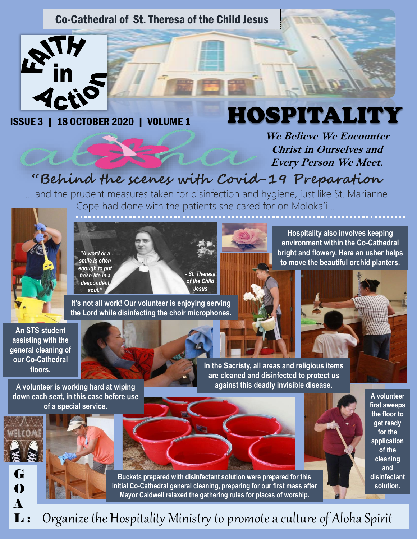### Co-Cathedral of St. Theresa of the Child Jesus



ISSUE 3 | 18 OCTOBER 2020 | VOLUME 1

# HOSPITALITY

**We Believe We Encounter Christ in Ourselves and Every Person We Meet.** 

# **"Behind the scenes with Covid-19 Preparation**

… and the prudent measures taken for disinfection and hygiene, just like St. Marianne Cope had done with the patients she cared for on Moloka'i …



*"A word or a smile is often enough to put fresh life in a despondent soul." - St. Theresa of the Child Jesus* 

**It's not all work! Our volunteer is enjoying serving the Lord while disinfecting the choir microphones.** 

**Hospitality also involves keeping environment within the Co-Cathedral bright and flowery. Here an usher helps to move the beautiful orchid planters.** 





**An STS student assisting with the general cleaning of our Co-Cathedral floors.**



**A volunteer is working hard at wiping down each seat, in this case before use of a special service.** 





**In the Sacristy, all areas and religious items are cleaned and disinfected to protect us against this deadly invisible disease.** 

> **A volunteer first sweeps the floor to get ready for the application of the cleaning and disinfectant solution.**

**Buckets prepared with disinfectant solution were prepared for this initial Co-Cathedral general cleaning, preparing for our first mass after Mayor Caldwell relaxed the gathering rules for places of worship.** 

Organize the Hospitality Ministry to promote a culture of Aloha Spirit A L :